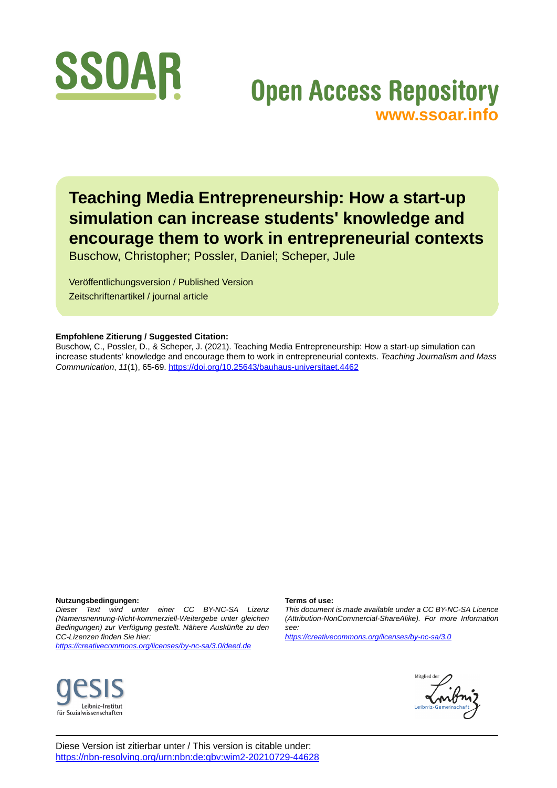

# **Open Access Repository [www.ssoar.info](http://www.ssoar.info)**

**Teaching Media Entrepreneurship: How a start-up simulation can increase students' knowledge and encourage them to work in entrepreneurial contexts**

Buschow, Christopher; Possler, Daniel; Scheper, Jule

Veröffentlichungsversion / Published Version Zeitschriftenartikel / journal article

### **Empfohlene Zitierung / Suggested Citation:**

Buschow, C., Possler, D., & Scheper, J. (2021). Teaching Media Entrepreneurship: How a start-up simulation can increase students' knowledge and encourage them to work in entrepreneurial contexts. *Teaching Journalism and Mass Communication*, *11*(1), 65-69.<https://doi.org/10.25643/bauhaus-universitaet.4462>

#### **Nutzungsbedingungen:**

*Dieser Text wird unter einer CC BY-NC-SA Lizenz (Namensnennung-Nicht-kommerziell-Weitergebe unter gleichen Bedingungen) zur Verfügung gestellt. Nähere Auskünfte zu den CC-Lizenzen finden Sie hier:*

*<https://creativecommons.org/licenses/by-nc-sa/3.0/deed.de>*

#### **Terms of use:**

*This document is made available under a CC BY-NC-SA Licence (Attribution-NonCommercial-ShareAlike). For more Information see:*

*<https://creativecommons.org/licenses/by-nc-sa/3.0>*





Diese Version ist zitierbar unter / This version is citable under: <https://nbn-resolving.org/urn:nbn:de:gbv:wim2-20210729-44628>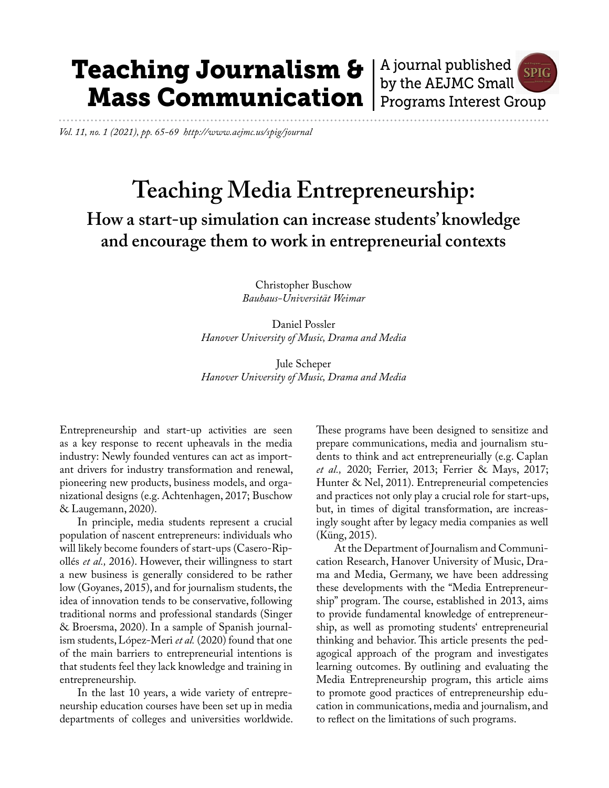# Teaching Journalism & Mass Communication

A journal published **SPIG** by the AEJMC Small Programs Interest Group

*Vol. 11, no. 1 (2021), pp. 65-69 http://www.aejmc.us/spig/journal*

# **Teaching Media Entrepreneurship:**

**How a start-up simulation can increase students' knowledge and encourage them to work in entrepreneurial contexts**

> Christopher Buschow *Bauhaus-Universität Weimar*

Daniel Possler *Hanover University of Music, Drama and Media*

Jule Scheper *Hanover University of Music, Drama and Media* 

Entrepreneurship and start-up activities are seen as a key response to recent upheavals in the media industry: Newly founded ventures can act as important drivers for industry transformation and renewal, pioneering new products, business models, and organizational designs (e.g. Achtenhagen, 2017; Buschow & Laugemann, 2020).

In principle, media students represent a crucial population of nascent entrepreneurs: individuals who will likely become founders of start-ups (Casero-Ripollés *et al.,* 2016). However, their willingness to start a new business is generally considered to be rather low (Goyanes, 2015), and for journalism students, the idea of innovation tends to be conservative, following traditional norms and professional standards (Singer & Broersma, 2020). In a sample of Spanish journalism students, López-Meri *et al.* (2020) found that one of the main barriers to entrepreneurial intentions is that students feel they lack knowledge and training in entrepreneurship.

In the last 10 years, a wide variety of entrepreneurship education courses have been set up in media departments of colleges and universities worldwide. These programs have been designed to sensitize and prepare communications, media and journalism students to think and act entrepreneurially (e.g. Caplan *et al.,* 2020; Ferrier, 2013; Ferrier & Mays, 2017; Hunter & Nel, 2011). Entrepreneurial competencies and practices not only play a crucial role for start-ups, but, in times of digital transformation, are increasingly sought after by legacy media companies as well (Küng, 2015).

At the Department of Journalism and Communication Research, Hanover University of Music, Drama and Media, Germany, we have been addressing these developments with the "Media Entrepreneurship" program. The course, established in 2013, aims to provide fundamental knowledge of entrepreneurship, as well as promoting students' entrepreneurial thinking and behavior. This article presents the pedagogical approach of the program and investigates learning outcomes. By outlining and evaluating the Media Entrepreneurship program, this article aims to promote good practices of entrepreneurship education in communications, media and journalism, and to reflect on the limitations of such programs.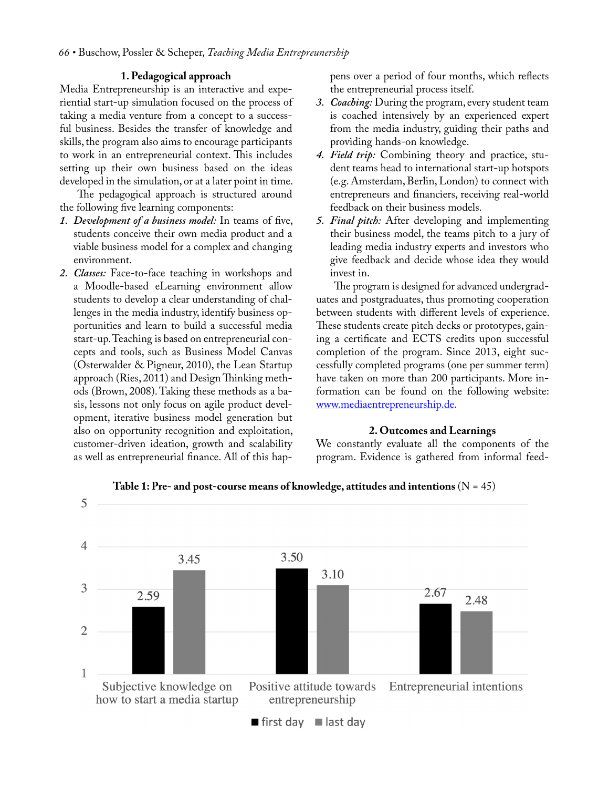## **1. Pedagogical approach**

Media Entrepreneurship is an interactive and experiential start-up simulation focused on the process of taking a media venture from a concept to a successful business. Besides the transfer of knowledge and skills, the program also aims to encourage participants to work in an entrepreneurial context. This includes setting up their own business based on the ideas developed in the simulation, or at a later point in time.

The pedagogical approach is structured around the following five learning components:

- *1. Development of a business model:* In teams of five, students conceive their own media product and a viable business model for a complex and changing environment.
- *2. Classes:* Face-to-face teaching in workshops and a Moodle-based eLearning environment allow students to develop a clear understanding of challenges in the media industry, identify business opportunities and learn to build a successful media start-up. Teaching is based on entrepreneurial concepts and tools, such as Business Model Canvas (Osterwalder & Pigneur, 2010), the Lean Startup approach (Ries, 2011) and Design Thinking methods (Brown, 2008). Taking these methods as a basis, lessons not only focus on agile product development, iterative business model generation but also on opportunity recognition and exploitation, customer-driven ideation, growth and scalability as well as entrepreneurial finance. All of this hap-

pens over a period of four months, which reflects the entrepreneurial process itself.

- *3. Coaching:* During the program, every student team is coached intensively by an experienced expert from the media industry, guiding their paths and providing hands-on knowledge.
- *4. Field trip:* Combining theory and practice, student teams head to international start-up hotspots (e.g. Amsterdam, Berlin, London) to connect with entrepreneurs and financiers, receiving real-world feedback on their business models.
- *5. Final pitch:* After developing and implementing their business model, the teams pitch to a jury of leading media industry experts and investors who give feedback and decide whose idea they would invest in.

The program is designed for advanced undergraduates and postgraduates, thus promoting cooperation between students with different levels of experience. These students create pitch decks or prototypes, gaining a certificate and ECTS credits upon successful completion of the program. Since 2013, eight successfully completed programs (one per summer term) have taken on more than 200 participants. More information can be found on the following website: [www.mediaentrepreneurship.de.](http://www.mediaentrepreneurship.de/)

### **2. Outcomes and Learnings**

We constantly evaluate all the components of the program. Evidence is gathered from informal feed-



**Table 1: Pre- and post-course means of knowledge, attitudes and intentions** (N = 45)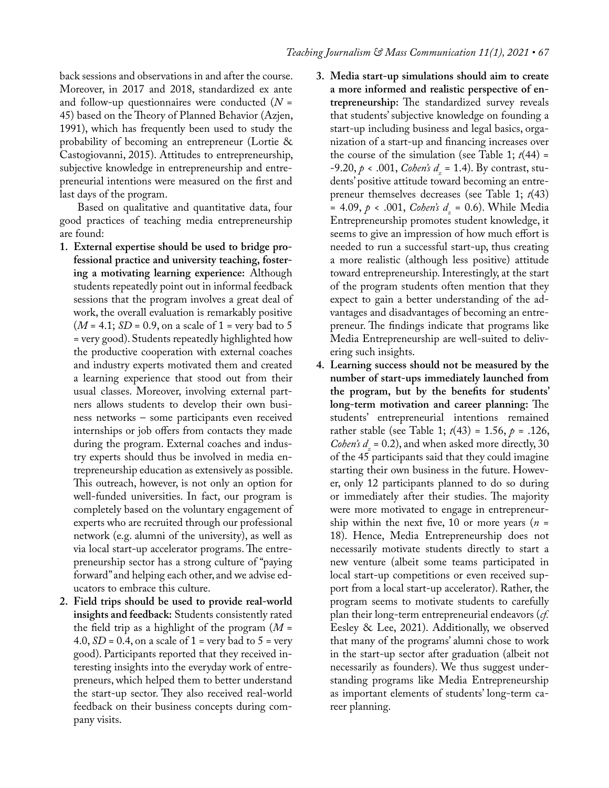back sessions and observations in and after the course. Moreover, in 2017 and 2018, standardized ex ante and follow-up questionnaires were conducted (*N* = 45) based on the Theory of Planned Behavior (Azjen, 1991), which has frequently been used to study the probability of becoming an entrepreneur (Lortie & Castogiovanni, 2015). Attitudes to entrepreneurship, subjective knowledge in entrepreneurship and entrepreneurial intentions were measured on the first and last days of the program.

Based on qualitative and quantitative data, four good practices of teaching media entrepreneurship are found:

- **1. External expertise should be used to bridge professional practice and university teaching, fostering a motivating learning experience:** Although students repeatedly point out in informal feedback sessions that the program involves a great deal of work, the overall evaluation is remarkably positive  $(M = 4.1; SD = 0.9, \text{ on a scale of } 1 = \text{very bad to } 5$ = very good). Students repeatedly highlighted how the productive cooperation with external coaches and industry experts motivated them and created a learning experience that stood out from their usual classes. Moreover, involving external partners allows students to develop their own business networks – some participants even received internships or job offers from contacts they made during the program. External coaches and industry experts should thus be involved in media entrepreneurship education as extensively as possible. This outreach, however, is not only an option for well-funded universities. In fact, our program is completely based on the voluntary engagement of experts who are recruited through our professional network (e.g. alumni of the university), as well as via local start-up accelerator programs. The entrepreneurship sector has a strong culture of "paying forward" and helping each other, and we advise educators to embrace this culture.
- **2. Field trips should be used to provide real-world insights and feedback:** Students consistently rated the field trip as a highlight of the program (*M* = 4.0,  $SD = 0.4$ , on a scale of  $1 = \text{very bad to } 5 = \text{very}$ good). Participants reported that they received interesting insights into the everyday work of entrepreneurs, which helped them to better understand the start-up sector. They also received real-world feedback on their business concepts during company visits.
- **3. Media start-up simulations should aim to create a more informed and realistic perspective of entrepreneurship:** The standardized survey reveals that students' subjective knowledge on founding a start-up including business and legal basics, organization of a start-up and financing increases over the course of the simulation (see Table 1;  $t(44)$  = -9.20, *p* < .001, *Cohen's d*<sub>z</sub> = 1.4). By contrast, students' positive attitude toward becoming an entrepreneur themselves decreases (see Table 1; *t*(43) = 4.09, *p* < .001, *Cohen's d<sub>z</sub>* = 0.6). While Media Entrepreneurship promotes student knowledge, it seems to give an impression of how much effort is needed to run a successful start-up, thus creating a more realistic (although less positive) attitude toward entrepreneurship. Interestingly, at the start of the program students often mention that they expect to gain a better understanding of the advantages and disadvantages of becoming an entrepreneur. The findings indicate that programs like Media Entrepreneurship are well-suited to delivering such insights.
- **4. Learning success should not be measured by the number of start-ups immediately launched from the program, but by the benefits for students' long-term motivation and career planning:** The students' entrepreneurial intentions remained rather stable (see Table 1; *t*(43) = 1.56, *p* = .126, *Cohen's*  $d_z = 0.2$ , and when asked more directly, 30 of the 45 participants said that they could imagine starting their own business in the future. However, only 12 participants planned to do so during or immediately after their studies. The majority were more motivated to engage in entrepreneurship within the next five, 10 or more years  $(n =$ 18). Hence, Media Entrepreneurship does not necessarily motivate students directly to start a new venture (albeit some teams participated in local start-up competitions or even received support from a local start-up accelerator). Rather, the program seems to motivate students to carefully plan their long-term entrepreneurial endeavors (*cf.* Eesley & Lee, 2021). Additionally, we observed that many of the programs' alumni chose to work in the start-up sector after graduation (albeit not necessarily as founders). We thus suggest understanding programs like Media Entrepreneurship as important elements of students' long-term career planning.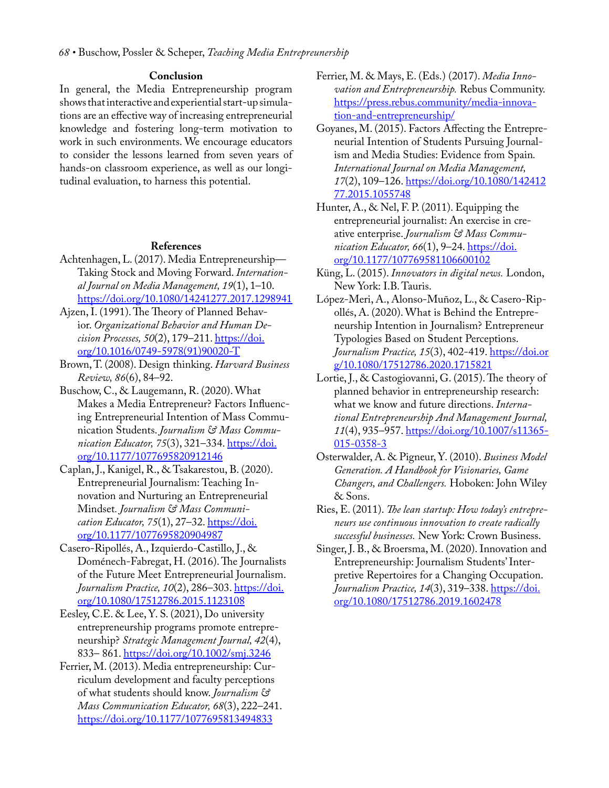### **Conclusion**

In general, the Media Entrepreneurship program shows that interactive and experiential start-up simulations are an effective way of increasing entrepreneurial knowledge and fostering long-term motivation to work in such environments. We encourage educators to consider the lessons learned from seven years of hands-on classroom experience, as well as our longitudinal evaluation, to harness this potential.

### **References**

- Achtenhagen, L. (2017). Media Entrepreneurship— Taking Stock and Moving Forward. *International Journal on Media Management, 19*(1), 1–10. [https://doi.org/10.1080/14241277.2017.1298941](https://doi.org/10.1080/14241277.2017.1298941 )
- Ajzen, I. (1991). The Theory of Planned Behavior. *Organizational Behavior and Human Decision Processes, 50*(2), 179–211. [https://doi.](https://doi.org/10.1016/0749-5978(91)90020-T) [org/10.1016/0749-5978\(91\)90020-T](https://doi.org/10.1016/0749-5978(91)90020-T)
- Brown, T. (2008). Design thinking. *Harvard Business Review, 86*(6), 84–92.
- Buschow, C., & Laugemann, R. (2020). What Makes a Media Entrepreneur? Factors Influencing Entrepreneurial Intention of Mass Communication Students. *Journalism & Mass Communication Educator, 75*(3), 321–334. [https://doi.](https://doi.org/10.1177/1077695820912146) [org/10.1177/1077695820912146](https://doi.org/10.1177/1077695820912146)
- Caplan, J., Kanigel, R., & Tsakarestou, B. (2020). Entrepreneurial Journalism: Teaching Innovation and Nurturing an Entrepreneurial Mindset*. Journalism & Mass Communication Educator, 75*(1), 27–32. [https://doi.](https://doi.org/10.1177/1077695820904987 ) [org/10.1177/1077695820904987](https://doi.org/10.1177/1077695820904987 )
- Casero-Ripollés, A., Izquierdo-Castillo, J., & Doménech-Fabregat, H. (2016). The Journalists of the Future Meet Entrepreneurial Journalism. *Journalism Practice, 10*(2), 286–303. [https://doi.](https://doi.org/10.1080/17512786.2015.1123108) [org/10.1080/17512786.2015.1123108](https://doi.org/10.1080/17512786.2015.1123108)
- Eesley, C.E. & Lee, Y. S. (2021), Do university entrepreneurship programs promote entrepreneurship? *Strategic Management Journal, 42*(4), 833– 861.<https://doi.org/10.1002/smj.3246>
- Ferrier, M. (2013). Media entrepreneurship: Curriculum development and faculty perceptions of what students should know. *Journalism & Mass Communication Educator, 68*(3), 222–241. <https://doi.org/10.1177/1077695813494833>
- Ferrier, M. & Mays, E. (Eds.) (2017). *Media Innovation and Entrepreneurship.* Rebus Community. [https://press.rebus.community/media-innova](https://press.rebus.community/media-innovation-and-entrepreneurship/)[tion-and-entrepreneurship/](https://press.rebus.community/media-innovation-and-entrepreneurship/)
- Goyanes, M. (2015). Factors Affecting the Entrepreneurial Intention of Students Pursuing Journalism and Media Studies: Evidence from Spain*. International Journal on Media Management, 17*(2), 109–126. [https://doi.org/10.1080/142412](https://doi.org/10.1080/14241277.2015.1055748) [77.2015.1055748](https://doi.org/10.1080/14241277.2015.1055748)
- Hunter, A., & Nel, F. P. (2011). Equipping the entrepreneurial journalist: An exercise in creative enterprise. *Journalism & Mass Communication Educator, 66*(1), 9–24. [https://doi.](https://doi.org/10.1177/107769581106600102) [org/10.1177/107769581106600102](https://doi.org/10.1177/107769581106600102)
- Küng, L. (2015). *Innovators in digital news.* London, New York: I.B. Tauris.
- López-Meri, A., Alonso-Muñoz, L., & Casero-Ripollés, A. (2020). What is Behind the Entrepreneurship Intention in Journalism? Entrepreneur Typologies Based on Student Perceptions. *Journalism Practice, 15*(3), 402-419. [https://doi.or](https://doi.org/10.1080/17512786.2020.1715821) [g/10.1080/17512786.2020.1715821](https://doi.org/10.1080/17512786.2020.1715821)
- Lortie, J., & Castogiovanni, G. (2015). The theory of planned behavior in entrepreneurship research: what we know and future directions. *International Entrepreneurship And Management Journal, 11*(4), 935–957. [https://doi.org/10.1007/s11365-](https://doi.org/10.1007/s11365-015-0358-3 ) [015-0358-3](https://doi.org/10.1007/s11365-015-0358-3 )
- Osterwalder, A. & Pigneur, Y. (2010). *Business Model Generation. A Handbook for Visionaries, Game Changers, and Challengers.* Hoboken: John Wiley & Sons.
- Ries, E. (2011). *The lean startup: How today's entrepreneurs use continuous innovation to create radically successful businesses.* New York: Crown Business.
- Singer, J. B., & Broersma, M. (2020). Innovation and Entrepreneurship: Journalism Students' Interpretive Repertoires for a Changing Occupation. *Journalism Practice, 14*(3), 319–338. [https://doi.](https://doi.org/10.1080/17512786.2019.1602478) [org/10.1080/17512786.2019.1602478](https://doi.org/10.1080/17512786.2019.1602478)